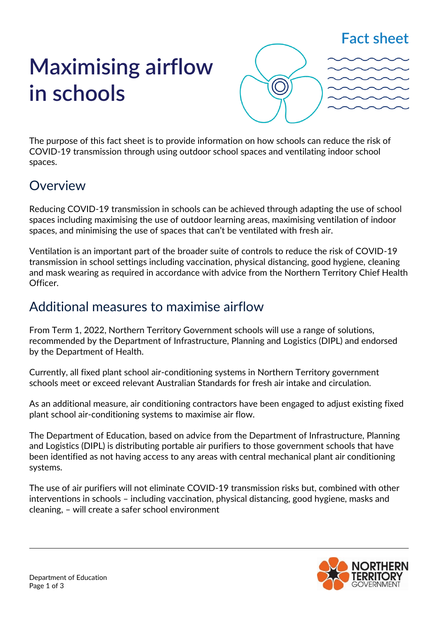## **Fact sheet**

# **Maximising airflow in schools**



The purpose of this fact sheet is to provide information on how schools can reduce the risk of COVID-19 transmission through using outdoor school spaces and ventilating indoor school spaces.

## Overview

Reducing COVID-19 transmission in schools can be achieved through adapting the use of school spaces including maximising the use of outdoor learning areas, maximising ventilation of indoor spaces, and minimising the use of spaces that can't be ventilated with fresh air.

Ventilation is an important part of the broader suite of controls to reduce the risk of COVID-19 transmission in school settings including vaccination, physical distancing, good hygiene, cleaning and mask wearing as required in accordance with advice from the Northern Territory Chief Health Officer.

### Additional measures to maximise airflow

From Term 1, 2022, Northern Territory Government schools will use a range of solutions, recommended by the Department of Infrastructure, Planning and Logistics (DIPL) and endorsed by the Department of Health.

Currently, all fixed plant school air-conditioning systems in Northern Territory government schools meet or exceed relevant Australian Standards for fresh air intake and circulation.

As an additional measure, air conditioning contractors have been engaged to adjust existing fixed plant school air-conditioning systems to maximise air flow.

The Department of Education, based on advice from the Department of Infrastructure, Planning and Logistics (DIPL) is distributing portable air purifiers to those government schools that have been identified as not having access to any areas with central mechanical plant air conditioning systems.

The use of air purifiers will not eliminate COVID-19 transmission risks but, combined with other interventions in schools – including vaccination, physical distancing, good hygiene, masks and cleaning, – will create a safer school environment

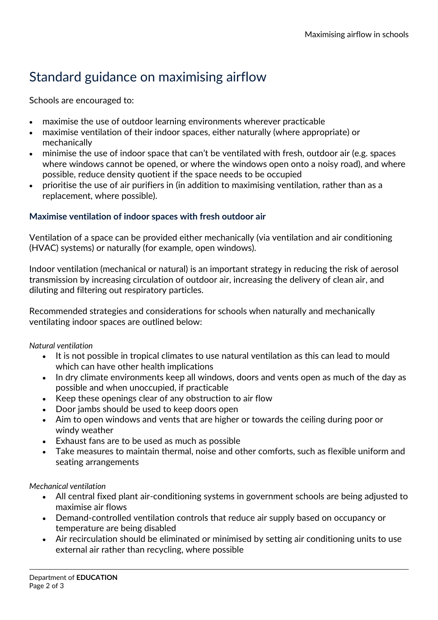# Standard guidance on maximising airflow

Schools are encouraged to:

- maximise the use of outdoor learning environments wherever practicable
- maximise ventilation of their indoor spaces, either naturally (where appropriate) or mechanically
- minimise the use of indoor space that can't be ventilated with fresh, outdoor air (e.g. spaces where windows cannot be opened, or where the windows open onto a noisy road), and where possible, reduce density quotient if the space needs to be occupied
- prioritise the use of air purifiers in (in addition to maximising ventilation, rather than as a replacement, where possible).

#### **Maximise ventilation of indoor spaces with fresh outdoor air**

Ventilation of a space can be provided either mechanically (via ventilation and air conditioning (HVAC) systems) or naturally (for example, open windows).

Indoor ventilation (mechanical or natural) is an important strategy in reducing the risk of aerosol transmission by increasing circulation of outdoor air, increasing the delivery of clean air, and diluting and filtering out respiratory particles.

Recommended strategies and considerations for schools when naturally and mechanically ventilating indoor spaces are outlined below:

#### *Natural ventilation*

- It is not possible in tropical climates to use natural ventilation as this can lead to mould which can have other health implications
- In dry climate environments keep all windows, doors and vents open as much of the day as possible and when unoccupied, if practicable
- Keep these openings clear of any obstruction to air flow
- Door jambs should be used to keep doors open
- Aim to open windows and vents that are higher or towards the ceiling during poor or windy weather
- Exhaust fans are to be used as much as possible
- Take measures to maintain thermal, noise and other comforts, such as flexible uniform and seating arrangements

#### *Mechanical ventilation*

- All central fixed plant air-conditioning systems in government schools are being adjusted to maximise air flows
- Demand-controlled ventilation controls that reduce air supply based on occupancy or temperature are being disabled
- Air recirculation should be eliminated or minimised by setting air conditioning units to use external air rather than recycling, where possible